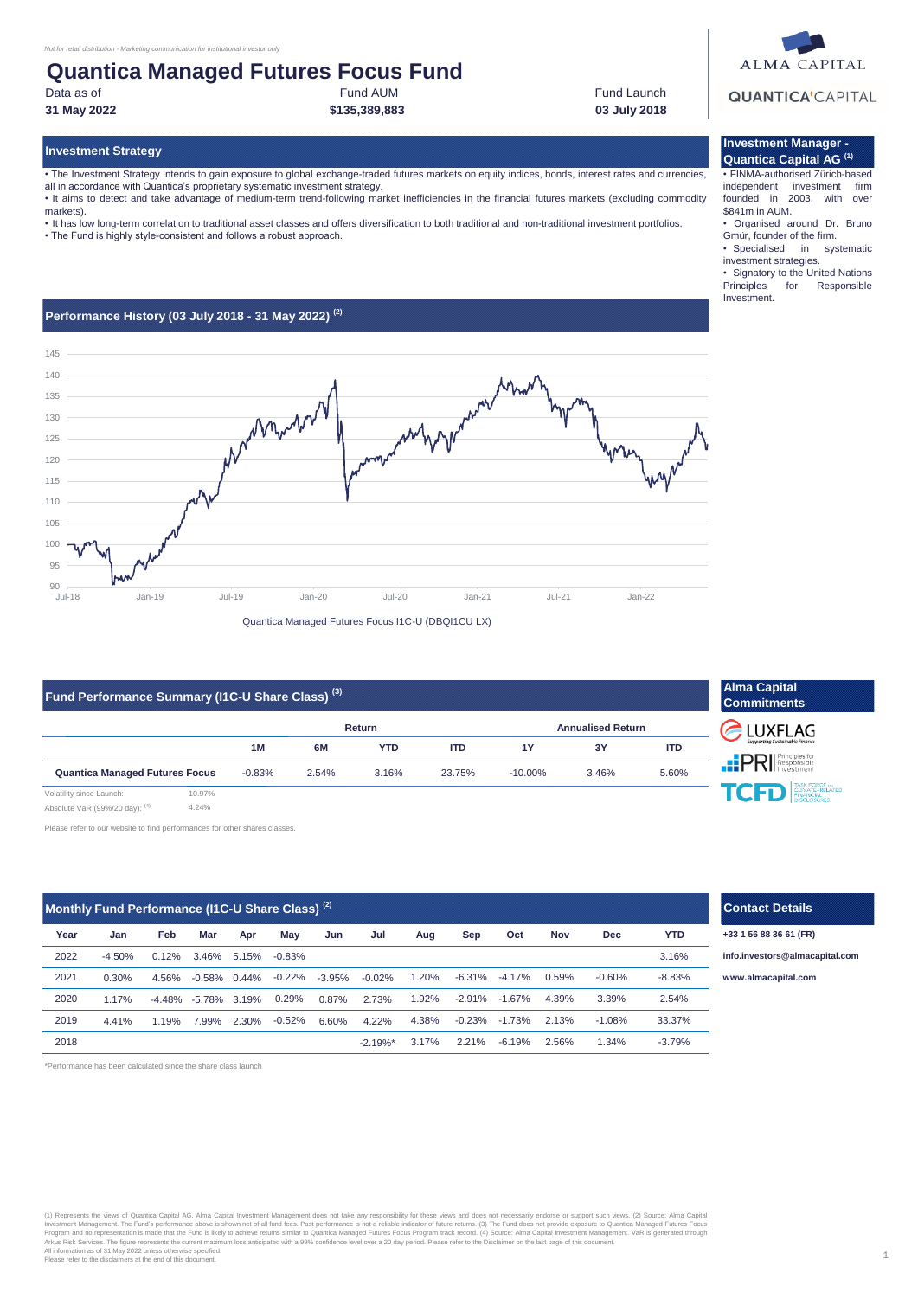### Fund AUM **Quantica Managed Futures Focus Fund**

Data as of

### **31 May 2022 03 July 2018**

**Investment Strategy**

• The Investment Strategy intends to gain exposure to global exchange-traded futures markets on equity indices, bonds, interest rates and currencies, all in accordance with Quantica's proprietary systematic investment strategy.

**\$135,389,883**

• It aims to detect and take advantage of medium-term trend-following market inefficiencies in the financial futures markets (excluding commodity markets).

• It has low long-term correlation to traditional asset classes and offers diversification to both traditional and non-traditional investment portfolios.

• The Fund is highly style-consistent and follows a robust approach.

### **Performance History (03 July 2018 - 31 May 2022) (2)**



### **Fund Performance Summary (I1C-U Share Class) (3)**

|                                       |        |          |       | Return     | <b>Annualised Return</b> |            |       |            |
|---------------------------------------|--------|----------|-------|------------|--------------------------|------------|-------|------------|
|                                       |        | 1M       | 6M    | <b>YTD</b> | <b>ITD</b>               | 1Y         | 3Y    | <b>ITD</b> |
| <b>Quantica Managed Futures Focus</b> |        | $-0.83%$ | 2.54% | 3.16%      | 23.75%                   | $-10.00\%$ | 3.46% | 5.60%      |
| Volatility since Launch:              | 10.97% |          |       |            |                          |            |       |            |

Absolute VaR (99%/20 day): (4) 4.24%

Please refer to our website to find performances for other shares classes.

| Monthly Fund Performance (I1C-U Share Class) <sup>(2)</sup> |          |          |           |       |           |          |             |       |           |          |            |            |            |
|-------------------------------------------------------------|----------|----------|-----------|-------|-----------|----------|-------------|-------|-----------|----------|------------|------------|------------|
| Year                                                        | Jan      | Feb      | Mar       | Apr   | May       | Jun      | Jul         | Aug   | Sep       | Oct      | <b>Nov</b> | <b>Dec</b> | <b>YTD</b> |
| 2022                                                        | $-4.50%$ | 0.12%    | 3.46%     | 5.15% | $-0.83%$  |          |             |       |           |          |            |            | 3.16%      |
| 2021                                                        | 0.30%    | 4.56%    | $-0.58%$  | 0.44% | $-0.22%$  | $-3.95%$ | $-0.02%$    | 1.20% | $-6.31\%$ | $-4.17%$ | 0.59%      | $-0.60%$   | $-8.83%$   |
| 2020                                                        | 1.17%    | $-4.48%$ | $-5.78\%$ | 3.19% | 0.29%     | 0.87%    | 2.73%       | 1.92% | $-2.91%$  | $-1.67%$ | 4.39%      | 3.39%      | 2.54%      |
| 2019                                                        | 4.41%    | 1.19%    | 7.99%     | 2.30% | $-0.52\%$ | 6.60%    | 4.22%       | 4.38% | $-0.23%$  | $-1.73%$ | 2.13%      | $-1.08%$   | 33.37%     |
| 2018                                                        |          |          |           |       |           |          | $-2.19\%$ * | 3.17% | 2.21%     | $-6.19%$ | 2.56%      | 1.34%      | $-3.79%$   |

\*Performance has been calculated since the share class launch

# (1) Represents the views of Quantica Capital AG. Alma Capital Investment Management does not take any responsibility for these views and does not necessarily endorse or support such views. (2) Source: Alma Capita<br>Investmen



#### **Investment Manager - Quantica Capital AG (1)**

Fund Launch

• FINMA-authorised Zürich-based independent investment firm founded in 2003, with over \$841m in AUM.

• Organised around Dr. Bruno Gmür, founder of the firm.

• Specialised in systematic investment strategies.

• Signatory to the United Nations<br>Principles for Responsible Responsible Investment.

| <b>Alma Capital</b><br><b>Commitments</b>   |
|---------------------------------------------|
| C LUXFLAG<br>Supporting Sustainable Finance |
| <b>PRI</b> Principles for                   |
| TCFD EMATE-RELATED                          |

| .<br>I <b>\I</b> Investment |                                                                |  |  |  |  |  |
|-----------------------------|----------------------------------------------------------------|--|--|--|--|--|
|                             | TASK FORCE on<br>CLIMATE – RELATED<br>FINANCIAL<br>DISCLOSURES |  |  |  |  |  |
|                             |                                                                |  |  |  |  |  |
|                             |                                                                |  |  |  |  |  |

### **Contact Details**

**+33 1 56 88 36 61 (FR)**

**[info.in](mailto:info.investors@almacapital.com)vestors@almacapital.com**

**[www.](http://www.almacapital.com/)almacapital.com**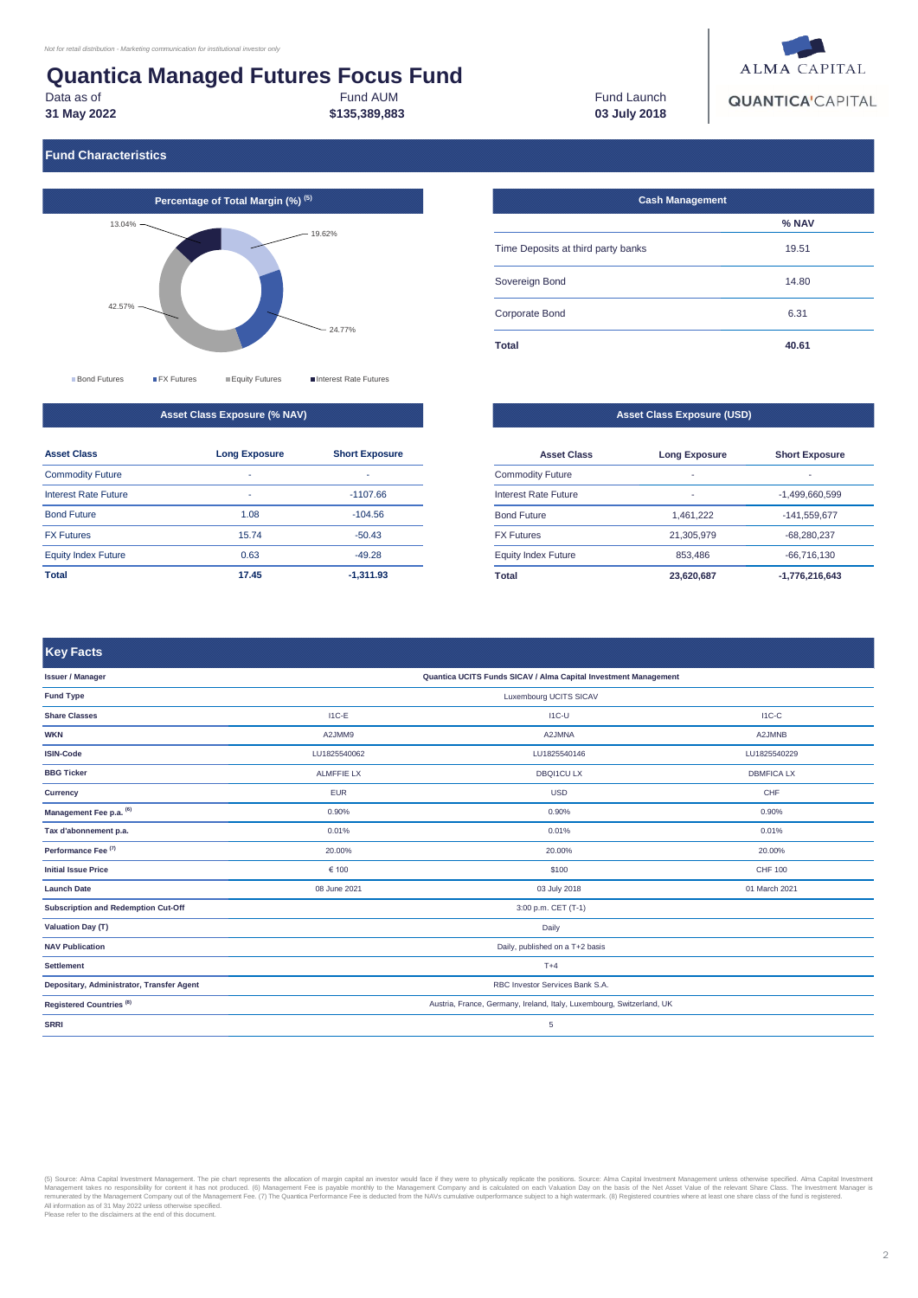## **Quantica Managed Futures Focus Fund**

Data as of

**31 May 2022**

**Key Facts**

Fund AUM **\$135,389,883**

Fund Launch **03 July 2018**



### **Fund Characteristics**



**Asset Class Exposure (% NAV)**

| <b>Asset Class</b>          | <b>Long Exposure</b>     | <b>Short Exposure</b> |
|-----------------------------|--------------------------|-----------------------|
| <b>Commodity Future</b>     | $\overline{\phantom{0}}$ | ٠                     |
| <b>Interest Rate Future</b> | $\overline{\phantom{0}}$ | $-1107.66$            |
| <b>Bond Future</b>          | 1.08                     | $-104.56$             |
| <b>FX Futures</b>           | 15.74                    | $-50.43$              |
| <b>Equity Index Future</b>  | 0.63                     | $-49.28$              |
| Total                       | 17.45                    | $-1.311.93$           |

| <b>Cash Management</b>             |       |
|------------------------------------|-------|
|                                    | % NAV |
| Time Deposits at third party banks | 19.51 |
| Sovereign Bond                     | 14.80 |
| Corporate Bond                     | 6.31  |
| <b>Total</b>                       | 40.61 |

#### **Asset Class Exposure (USD)**

| <b>Asset Class</b>         | <b>Long Exposure</b> | <b>Short Exposure</b> |
|----------------------------|----------------------|-----------------------|
| <b>Commodity Future</b>    | ٠                    | -                     |
| Interest Rate Future       | ٠                    | $-1,499,660,599$      |
| <b>Bond Future</b>         | 1.461.222            | $-141,559,677$        |
| <b>FX Futures</b>          | 21.305.979           | $-68.280.237$         |
| <b>Equity Index Future</b> | 853,486              | $-66.716.130$         |
| Total                      | 23,620,687           | $-1,776,216,643$      |

LU1825540229 DBMFICA LX CHF 0.90% 0.01%

A2JMNB

I1C-C

#### LU1825540146 DBQI1CU LX USD **ISIN-Code Currency** 0.90% 0.01% 20.00% 0.90% 0.01% 20.00% I1C-U A2JMNA **BBG Ticker Management Fee p.a. (6) Tax d'abonnement p.a. Performance Fee (7)** I1C-E A2JMM9 LU1825540062 ALMFFIE LX EUR **Issuer / Manager Share Classes WKN Quantica UCITS Funds SICAV / Alma Capital Investment Management Fund Type** Luxembourg UCITS SICAV

| Performance Fee <sup>(1)</sup>            | 20.00%                                                                | 20.00%       | 20.00%         |  |  |  |
|-------------------------------------------|-----------------------------------------------------------------------|--------------|----------------|--|--|--|
| <b>Initial Issue Price</b>                | € 100                                                                 | \$100        | <b>CHF 100</b> |  |  |  |
| <b>Launch Date</b>                        | 08 June 2021                                                          | 03 July 2018 | 01 March 2021  |  |  |  |
| Subscription and Redemption Cut-Off       | 3:00 p.m. CET (T-1)                                                   |              |                |  |  |  |
| <b>Valuation Day (T)</b>                  | Daily                                                                 |              |                |  |  |  |
| <b>NAV Publication</b>                    | Daily, published on a T+2 basis                                       |              |                |  |  |  |
| <b>Settlement</b>                         | $T+4$                                                                 |              |                |  |  |  |
| Depositary, Administrator, Transfer Agent | RBC Investor Services Bank S.A.                                       |              |                |  |  |  |
| Registered Countries <sup>(8)</sup>       | Austria, France, Germany, Ireland, Italy, Luxembourg, Switzerland, UK |              |                |  |  |  |
| <b>SRRI</b>                               | 5                                                                     |              |                |  |  |  |

(5) Source: Alma Capital Investment Management. The pie chart represents the allocation of margin capital an investor would face if they were to physically replacted the position. Source: Alma Capital Investment Management